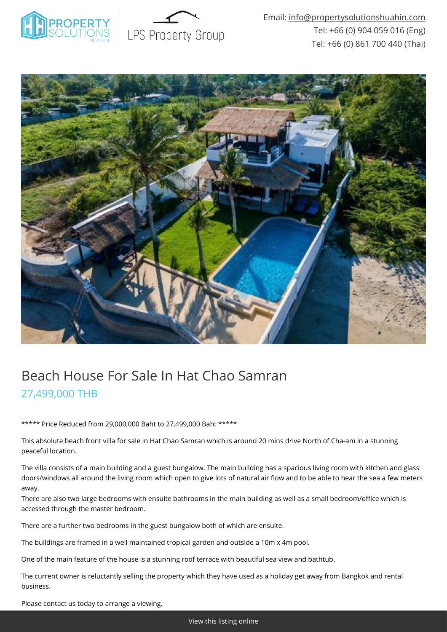



# Beach House For Sale In Hat Chao Samran 27,499,000 THB

\*\*\*\*\* Price Reduced from 29,000,000 Baht to 27,499,000 Baht \*\*\*\*\*

This absolute beach front villa for sale in Hat Chao Samran which is around 20 mins drive North of Cha-am in a stunning peaceful location.

The villa consists of a main building and a guest bungalow. The main building has a spacious living room with kitchen and glass doors/windows all around the living room which open to give lots of natural air flow and to be able to hear the sea a few meters away.

There are also two large bedrooms with ensuite bathrooms in the main building as well as a small bedroom/office which is accessed through the master bedroom.

There are a further two bedrooms in the guest bungalow both of which are ensuite.

The buildings are framed in a well maintained tropical garden and outside a 10m x 4m pool.

One of the main feature of the house is a stunning roof terrace with beautiful sea view and bathtub.

The current owner is reluctantly selling the property which they have used as a holiday get away from Bangkok and rental business.

Please contact us today to arrange a viewing.